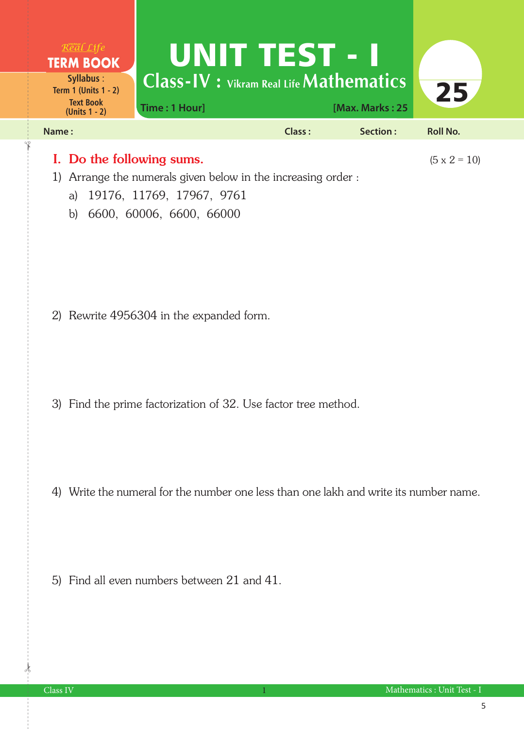

1) Arrange the numerals given below in the increasing order :

- a) 19176, 11769, 17967, 9761
- b) 6600, 60006, 6600, 66000

2) Rewrite 4956304 in the expanded form.

3) Find the prime factorization of 32. Use factor tree method.

4) Write the numeral for the number one less than one lakh and write its number name.

5) Find all even numbers between 21 and 41.

 $\frac{1}{2}$